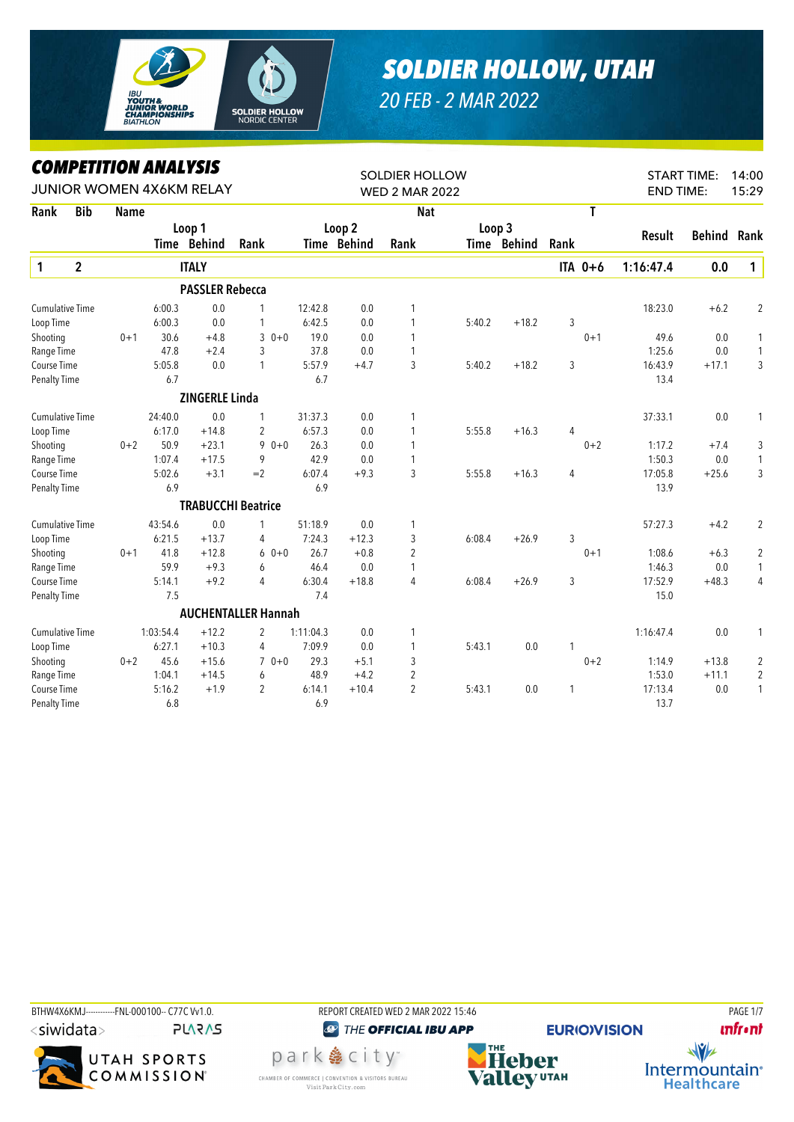

## *SOLDIER HOLLOW, UTAH*

*20 FEB - 2 MAR 2022*

## *COMPETITION ANALYSIS*

|                        |                | LUMPEIIIIUN ANALYƏIƏ |           |                          |                            | <b>SOLDIER HOLLOW</b><br><b>WED 2 MAR 2022</b> |             |                |        |             |                |         | <b>START TIME:</b><br>14:00 |         |                |  |
|------------------------|----------------|----------------------|-----------|--------------------------|----------------------------|------------------------------------------------|-------------|----------------|--------|-------------|----------------|---------|-----------------------------|---------|----------------|--|
|                        |                |                      |           | JUNIOR WOMEN 4X6KM RELAY |                            |                                                |             |                |        |             |                |         | <b>END TIME:</b>            | 15:29   |                |  |
| Rank                   | <b>Bib</b>     | <b>Name</b>          |           |                          |                            |                                                |             | <b>Nat</b>     |        |             |                | T       |                             |         |                |  |
|                        |                |                      |           | Loop 1                   |                            | Loop 2                                         |             | Loop 3         |        |             |                | Result  | <b>Behind</b>               | Rank    |                |  |
|                        |                |                      |           | Time Behind              | Rank                       |                                                | Time Behind | Rank           |        | Time Behind | Rank           |         |                             |         |                |  |
| $\mathbf{1}$           | $\overline{2}$ |                      |           | <b>ITALY</b>             |                            |                                                |             |                |        |             |                | ITA 0+6 | 1:16:47.4                   | 0.0     | $\mathbf{1}$   |  |
|                        |                |                      |           | <b>PASSLER Rebecca</b>   |                            |                                                |             |                |        |             |                |         |                             |         |                |  |
| <b>Cumulative Time</b> |                |                      | 6:00.3    | 0.0                      | 1                          | 12:42.8                                        | 0.0         | 1              |        |             |                |         | 18:23.0                     | $+6.2$  | $\overline{2}$ |  |
| Loop Time              |                |                      | 6:00.3    | 0.0                      | $\mathbf{1}$               | 6:42.5                                         | 0.0         | 1              | 5:40.2 | $+18.2$     | 3              |         |                             |         |                |  |
| Shooting               |                | $0 + 1$              | 30.6      | $+4.8$                   | 3<br>$0 + 0$               | 19.0                                           | 0.0         | 1              |        |             |                | $0 + 1$ | 49.6                        | 0.0     | 1              |  |
| Range Time             |                |                      | 47.8      | $+2.4$                   | 3                          | 37.8                                           | 0.0         | 1              |        |             |                |         | 1:25.6                      | $0.0\,$ | 1              |  |
| Course Time            |                |                      | 5:05.8    | 0.0                      | 1                          | 5:57.9                                         | $+4.7$      | 3              | 5:40.2 | $+18.2$     | 3              |         | 16:43.9                     | $+17.1$ | 3              |  |
| <b>Penalty Time</b>    |                |                      | 6.7       |                          |                            | 6.7                                            |             |                |        |             |                |         | 13.4                        |         |                |  |
|                        |                |                      |           | <b>ZINGERLE Linda</b>    |                            |                                                |             |                |        |             |                |         |                             |         |                |  |
| <b>Cumulative Time</b> |                |                      | 24:40.0   | 0.0                      | 1                          | 31:37.3                                        | 0.0         | 1              |        |             |                |         | 37:33.1                     | $0.0\,$ |                |  |
| Loop Time              |                |                      | 6:17.0    | $+14.8$                  | $\overline{2}$             | 6:57.3                                         | 0.0         | 1              | 5:55.8 | $+16.3$     | 4              |         |                             |         |                |  |
| Shooting               |                | $0 + 2$              | 50.9      | $+23.1$                  | $90+0$                     | 26.3                                           | 0.0         | 1              |        |             |                | $0 + 2$ | 1:17.2                      | $+7.4$  | 3              |  |
| Range Time             |                |                      | 1:07.4    | $+17.5$                  | 9                          | 42.9                                           | 0.0         | 1              |        |             |                |         | 1:50.3                      | 0.0     | $\mathbf{1}$   |  |
| Course Time            |                |                      | 5:02.6    | $+3.1$                   | $=2$                       | 6:07.4                                         | $+9.3$      | 3              | 5:55.8 | $+16.3$     | $\overline{4}$ |         | 17:05.8                     | $+25.6$ | 3              |  |
| <b>Penalty Time</b>    |                |                      | 6.9       |                          |                            | 6.9                                            |             |                |        |             |                |         | 13.9                        |         |                |  |
|                        |                |                      |           |                          | <b>TRABUCCHI Beatrice</b>  |                                                |             |                |        |             |                |         |                             |         |                |  |
| <b>Cumulative Time</b> |                |                      | 43:54.6   | 0.0                      | $\mathbf{1}$               | 51:18.9                                        | 0.0         | 1              |        |             |                |         | 57:27.3                     | $+4.2$  | 2              |  |
| Loop Time              |                |                      | 6:21.5    | $+13.7$                  | 4                          | 7:24.3                                         | $+12.3$     | 3              | 6:08.4 | $+26.9$     | 3              |         |                             |         |                |  |
| Shooting               |                | $0 + 1$              | 41.8      | $+12.8$                  | $60+0$                     | 26.7                                           | $+0.8$      | 2              |        |             |                | $0 + 1$ | 1:08.6                      | $+6.3$  | 2              |  |
| Range Time             |                |                      | 59.9      | $+9.3$                   | 6                          | 46.4                                           | 0.0         | 1              |        |             |                |         | 1:46.3                      | 0.0     | 1              |  |
| Course Time            |                |                      | 5:14.1    | $+9.2$                   | $\overline{4}$             | 6:30.4                                         | $+18.8$     | 4              | 6:08.4 | $+26.9$     | 3              |         | 17:52.9                     | $+48.3$ | 4              |  |
| <b>Penalty Time</b>    |                |                      | 7.5       |                          |                            | 7.4                                            |             |                |        |             |                |         | 15.0                        |         |                |  |
|                        |                |                      |           |                          | <b>AUCHENTALLER Hannah</b> |                                                |             |                |        |             |                |         |                             |         |                |  |
| <b>Cumulative Time</b> |                |                      | 1:03:54.4 | $+12.2$                  | 2                          | 1:11:04.3                                      | 0.0         | 1              |        |             |                |         | 1:16:47.4                   | 0.0     | 1              |  |
| Loop Time              |                |                      | 6:27.1    | $+10.3$                  | $\overline{4}$             | 7:09.9                                         | 0.0         | 1              | 5:43.1 | 0.0         | 1              |         |                             |         |                |  |
| Shooting               |                | $0 + 2$              | 45.6      | $+15.6$                  | $70+0$                     | 29.3                                           | $+5.1$      | 3              |        |             |                | $0 + 2$ | 1:14.9                      | $+13.8$ | 2              |  |
| Range Time             |                |                      | 1:04.1    | $+14.5$                  | 6                          | 48.9                                           | $+4.2$      | $\overline{2}$ |        |             |                |         | 1:53.0                      | $+11.1$ | $\sqrt{2}$     |  |
| Course Time            |                |                      | 5:16.2    | $+1.9$                   | $\overline{2}$             | 6:14.1                                         | $+10.4$     | $\overline{c}$ | 5:43.1 | 0.0         | 1              |         | 17:13.4                     | 0.0     | 1              |  |
| <b>Penalty Time</b>    |                |                      | 6.8       |                          |                            | 6.9                                            |             |                |        |             |                |         | 13.7                        |         |                |  |











**EURIO)VISION** 

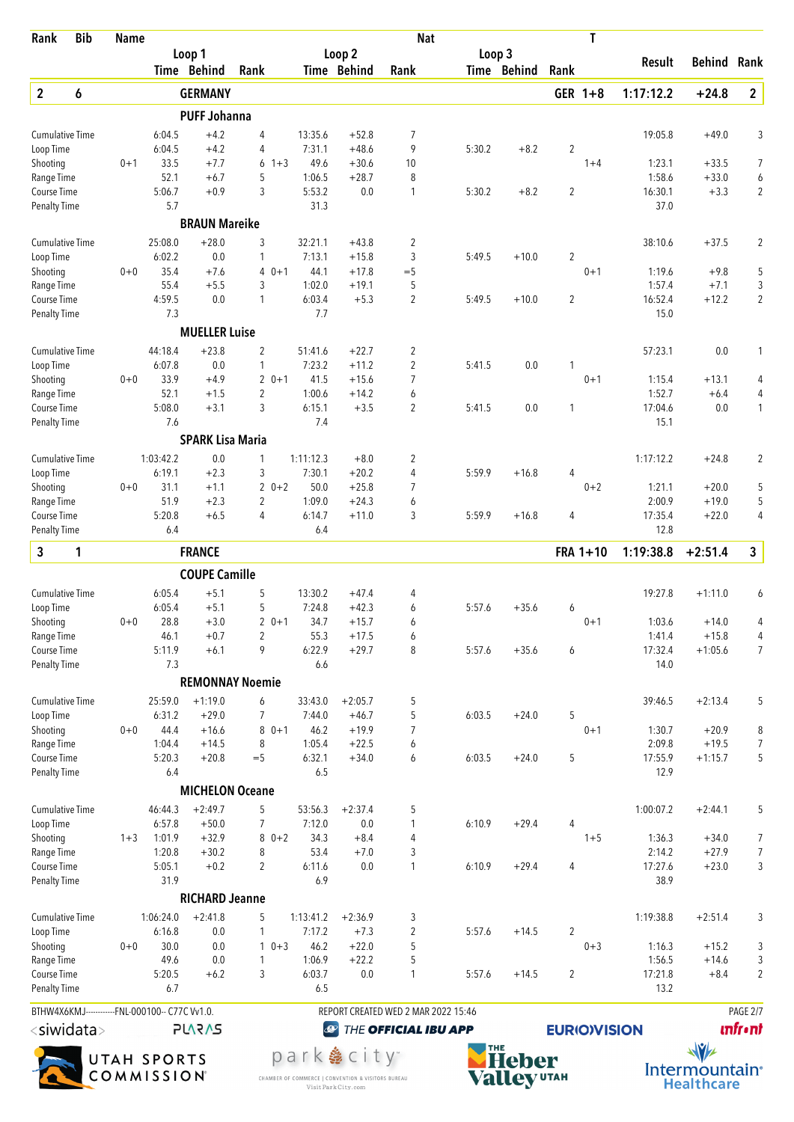| Rank                                           | <b>Bib</b> | <b>Name</b> |                     |                               |                           |                           |                                  | <b>Nat</b>                          |        |             |                     | T        |                   |                    |                            |
|------------------------------------------------|------------|-------------|---------------------|-------------------------------|---------------------------|---------------------------|----------------------------------|-------------------------------------|--------|-------------|---------------------|----------|-------------------|--------------------|----------------------------|
|                                                |            |             |                     | Loop 1<br>Time Behind         | Rank                      |                           | Loop <sub>2</sub><br>Time Behind | Rank                                | Loop 3 | Time Behind | Rank                |          | Result            | <b>Behind Rank</b> |                            |
|                                                |            |             |                     |                               |                           |                           |                                  |                                     |        |             |                     |          |                   |                    |                            |
| $\overline{2}$                                 | 6          |             |                     | <b>GERMANY</b>                |                           |                           |                                  |                                     |        |             |                     | GER 1+8  | 1:17:12.2         | $+24.8$            | $\overline{2}$             |
| <b>Cumulative Time</b>                         |            |             |                     | <b>PUFF Johanna</b><br>$+4.2$ | 4                         | 13:35.6                   | $+52.8$                          | 7                                   |        |             |                     |          | 19:05.8           | $+49.0$            | 3                          |
| Loop Time                                      |            |             | 6:04.5<br>6:04.5    | $+4.2$                        | 4                         | 7:31.1                    | $+48.6$                          | 9                                   | 5:30.2 | $+8.2$      | $\boldsymbol{2}$    |          |                   |                    |                            |
| Shooting                                       |            | $0 + 1$     | 33.5                | $+7.7$                        | 6<br>$1 + 3$              | 49.6                      | $+30.6$                          | 10                                  |        |             |                     | $1 + 4$  | 1:23.1            | $+33.5$            | 7                          |
| Range Time                                     |            |             | 52.1                | $+6.7$                        | 5                         | 1:06.5                    | $+28.7$                          | 8                                   |        |             |                     |          | 1:58.6            | $+33.0$            | 6                          |
| Course Time<br><b>Penalty Time</b>             |            |             | 5:06.7<br>5.7       | $+0.9$                        | 3                         | 5:53.2<br>31.3            | 0.0                              | 1                                   | 5:30.2 | $+8.2$      | $\overline{2}$      |          | 16:30.1<br>37.0   | $+3.3$             | $\overline{2}$             |
|                                                |            |             |                     | <b>BRAUN Mareike</b>          |                           |                           |                                  |                                     |        |             |                     |          |                   |                    |                            |
| <b>Cumulative Time</b>                         |            |             | 25:08.0             | $+28.0$                       | 3                         | 32:21.1                   | $+43.8$                          | $\overline{2}$                      |        |             |                     |          | 38:10.6           | $+37.5$            | $\overline{2}$             |
| Loop Time                                      |            |             | 6:02.2              | 0.0                           | 1                         | 7:13.1                    | $+15.8$                          | 3                                   | 5:49.5 | $+10.0$     | 2                   |          |                   |                    |                            |
| Shooting                                       |            | $0 + 0$     | 35.4                | $+7.6$                        | $0 + 1$<br>4              | 44.1                      | $+17.8$                          | $=$ 5                               |        |             |                     | $0 + 1$  | 1:19.6            | $+9.8$             | 5                          |
| Range Time<br>Course Time                      |            |             | 55.4<br>4:59.5      | $+5.5$<br>0.0                 | 3<br>1                    | 1:02.0<br>6:03.4          | $+19.1$<br>$+5.3$                | 5<br>$\overline{2}$                 | 5:49.5 | $+10.0$     | 2                   |          | 1:57.4<br>16:52.4 | $+7.1$<br>$+12.2$  | 3<br>$\overline{2}$        |
| <b>Penalty Time</b>                            |            |             | 7.3                 |                               |                           | 7.7                       |                                  |                                     |        |             |                     |          | 15.0              |                    |                            |
|                                                |            |             |                     | <b>MUELLER Luise</b>          |                           |                           |                                  |                                     |        |             |                     |          |                   |                    |                            |
| <b>Cumulative Time</b>                         |            |             | 44:18.4             | $+23.8$                       | $\overline{2}$            | 51:41.6                   | $+22.7$                          | 2                                   |        |             |                     |          | 57:23.1           | 0.0                | 1                          |
| Loop Time                                      |            |             | 6:07.8              | 0.0                           | 1                         | 7:23.2                    | $+11.2$                          | $\overline{2}$                      | 5:41.5 | 0.0         | 1                   |          |                   |                    |                            |
| Shooting                                       |            | $0 + 0$     | 33.9                | $+4.9$                        | $\overline{2}$<br>$0 + 1$ | 41.5                      | $+15.6$                          | $\overline{7}$                      |        |             |                     | $0 + 1$  | 1:15.4            | $+13.1$            | 4                          |
| Range Time                                     |            |             | 52.1                | $+1.5$                        | $\overline{2}$            | 1:00.6                    | $+14.2$                          | 6                                   |        |             |                     |          | 1:52.7            | $+6.4$             | 4                          |
| Course Time<br><b>Penalty Time</b>             |            |             | 5:08.0<br>7.6       | $+3.1$                        | 3                         | 6:15.1<br>7.4             | $+3.5$                           | $\overline{2}$                      | 5:41.5 | 0.0         | 1                   |          | 17:04.6<br>15.1   | 0.0                | 1                          |
|                                                |            |             |                     | <b>SPARK Lisa Maria</b>       |                           |                           |                                  |                                     |        |             |                     |          |                   |                    |                            |
| <b>Cumulative Time</b>                         |            |             | 1:03:42.2           | 0.0                           | 1                         | 1:11:12.3                 | $+8.0$                           | $\overline{2}$                      |        |             |                     |          | 1:17:12.2         | $+24.8$            | $\overline{2}$             |
| Loop Time                                      |            |             | 6:19.1              | $+2.3$                        | 3                         | 7:30.1                    | $+20.2$                          | 4                                   | 5:59.9 | $+16.8$     | 4                   |          |                   |                    |                            |
| Shooting                                       |            | $0 + 0$     | 31.1                | $+1.1$                        | $20+2$                    | 50.0                      | $+25.8$                          | 7                                   |        |             |                     | $0 + 2$  | 1:21.1            | $+20.0$            | 5                          |
| Range Time                                     |            |             | 51.9                | $+2.3$                        | 2                         | 1:09.0                    | $+24.3$                          | 6                                   |        |             |                     |          | 2:00.9            | $+19.0$            | 5                          |
| Course Time<br><b>Penalty Time</b>             |            |             | 5:20.8<br>6.4       | $+6.5$                        | 4                         | 6:14.7<br>6.4             | $+11.0$                          | 3                                   | 5:59.9 | $+16.8$     | 4                   |          | 17:35.4<br>12.8   | $+22.0$            | $\overline{4}$             |
| 3                                              | 1          |             |                     | <b>FRANCE</b>                 |                           |                           |                                  |                                     |        |             |                     | FRA 1+10 | 1:19:38.8         | $+2:51.4$          | 3                          |
|                                                |            |             |                     | <b>COUPE Camille</b>          |                           |                           |                                  |                                     |        |             |                     |          |                   |                    |                            |
| <b>Cumulative Time</b>                         |            |             | 6:05.4              | $+5.1$                        | 5                         | 13:30.2                   | $+47.4$                          | 4                                   |        |             |                     |          | 19:27.8           | $+1:11.0$          | 6                          |
| Loop Time                                      |            |             | 6:05.4              | $+5.1$                        | 5                         | 7:24.8                    | $+42.3$                          | 6                                   | 5:57.6 | $+35.6$     | 6                   |          |                   |                    |                            |
| Shooting                                       |            | $0+0$       | 28.8                | $+3.0$                        | 2<br>$0 + 1$              | 34.7                      | $+15.7$                          | 6                                   |        |             |                     | $0 + 1$  | 1:03.6            | $+14.0$            | 4                          |
| Range Time                                     |            |             | 46.1                | $+0.7$                        | 2                         | 55.3                      | $+17.5$                          | 6                                   |        |             |                     |          | 1:41.4            | $+15.8$            | 4                          |
| Course Time<br><b>Penalty Time</b>             |            |             | 5:11.9<br>7.3       | $+6.1$                        | 9                         | 6:22.9<br>6.6             | $+29.7$                          | 8                                   | 5:57.6 | $+35.6$     | 6                   |          | 17:32.4<br>14.0   | $+1:05.6$          | 7                          |
|                                                |            |             |                     |                               | <b>REMONNAY Noemie</b>    |                           |                                  |                                     |        |             |                     |          |                   |                    |                            |
| <b>Cumulative Time</b>                         |            |             | 25:59.0             | $+1:19.0$                     | 6                         | 33:43.0                   | $+2:05.7$                        | 5                                   |        |             |                     |          | 39:46.5           | $+2:13.4$          | 5                          |
| Loop Time                                      |            |             | 6:31.2              | $+29.0$                       | 7                         | 7:44.0                    | $+46.7$                          | 5                                   | 6:03.5 | $+24.0$     | 5                   |          |                   |                    |                            |
| Shooting                                       |            | $0 + 0$     | 44.4                | $+16.6$                       | $80+1$                    | 46.2                      | $+19.9$                          | 7                                   |        |             |                     | $0 + 1$  | 1:30.7            | $+20.9$            | 8                          |
| Range Time                                     |            |             | 1:04.4              | $+14.5$                       | 8                         | 1:05.4                    | $+22.5$                          | 6                                   |        |             |                     |          | 2:09.8            | $+19.5$            | 7                          |
| Course Time                                    |            |             | 5:20.3              | $+20.8$                       | $=$ 5                     | 6:32.1                    | $+34.0$                          | 6                                   | 6:03.5 | $+24.0$     | 5                   |          | 17:55.9           | $+1:15.7$          | 5                          |
| <b>Penalty Time</b>                            |            |             | 6.4                 | <b>MICHELON Oceane</b>        |                           | 6.5                       |                                  |                                     |        |             |                     |          | 12.9              |                    |                            |
|                                                |            |             |                     |                               |                           |                           |                                  |                                     |        |             |                     |          |                   |                    |                            |
| Cumulative Time<br>Loop Time                   |            |             | 46:44.3<br>6:57.8   | $+2:49.7$<br>$+50.0$          | 5<br>7                    | 53:56.3<br>7:12.0         | $+2:37.4$<br>$0.0\,$             | 5<br>1                              | 6:10.9 | $+29.4$     | 4                   |          | 1:00:07.2         | $+2:44.1$          | 5                          |
| Shooting                                       |            | $1 + 3$     | 1:01.9              | $+32.9$                       | 8<br>$0 + 2$              | 34.3                      | $+8.4$                           | 4                                   |        |             |                     | $1 + 5$  | 1:36.3            | $+34.0$            | 7                          |
| Range Time                                     |            |             | 1:20.8              | $+30.2$                       | 8                         | 53.4                      | $+7.0$                           | 3                                   |        |             |                     |          | 2:14.2            | $+27.9$            | 7                          |
| Course Time                                    |            |             | 5:05.1              | $+0.2$                        | $\overline{2}$            | 6:11.6                    | 0.0                              | 1                                   | 6:10.9 | $+29.4$     | 4                   |          | 17:27.6           | $+23.0$            | 3                          |
| <b>Penalty Time</b>                            |            |             | 31.9                |                               |                           | 6.9                       |                                  |                                     |        |             |                     |          | 38.9              |                    |                            |
|                                                |            |             |                     | <b>RICHARD Jeanne</b>         |                           |                           |                                  |                                     |        |             |                     |          |                   |                    |                            |
| <b>Cumulative Time</b><br>Loop Time            |            |             | 1:06:24.0<br>6:16.8 | $+2:41.8$<br>0.0              | 5<br>1                    | 1:13:41.2<br>7:17.2       | $+2:36.9$<br>$+7.3$              | 3<br>$\overline{2}$                 | 5:57.6 | $+14.5$     | $\overline{2}$      |          | 1:19:38.8         | $+2:51.4$          | 3                          |
| Shooting                                       |            | $0+0$       | 30.0                | 0.0                           | $10+3$                    | 46.2                      | $+22.0$                          | 5                                   |        |             |                     | $0 + 3$  | 1:16.3            | $+15.2$            | 3                          |
| Range Time                                     |            |             | 49.6                | 0.0                           | $\mathbf{1}$              | 1:06.9                    | $+22.2$                          | 5                                   |        |             |                     |          | 1:56.5            | $+14.6$            | 3                          |
| Course Time                                    |            |             | 5:20.5<br>6.7       | $+6.2$                        | 3                         | 6:03.7<br>6.5             | $0.0\,$                          | 1                                   | 5:57.6 | $+14.5$     | $\overline{2}$      |          | 17:21.8<br>13.2   | $+8.4$             | $\sqrt{2}$                 |
| Penalty Time                                   |            |             |                     |                               |                           |                           |                                  |                                     |        |             |                     |          |                   |                    |                            |
| BTHW4X6KMJ------------FNL-000100-- C77C Vv1.0. |            |             |                     |                               |                           |                           |                                  | REPORT CREATED WED 2 MAR 2022 15:46 |        |             |                     |          |                   |                    | PAGE 2/7<br><b>unfront</b> |
| $<$ siwidata $>$<br><b>PLARAS</b>              |            |             |                     |                               | $\bigcirc$                |                           | THE OFFICIAL IBU APP             |                                     |        |             | <b>EURIO)VISION</b> |          |                   |                    |                            |
| UTAH SPORTS                                    |            |             |                     |                               |                           | park  e city <sup>-</sup> |                                  |                                     | Heber  |             |                     |          | $\sqrt{v}$        |                    |                            |



CHAMBER OF COMMERCE | CONVENTION & VISITORS BUREAU<br>Visit Park City.com



Intermountain<br>
Healthcare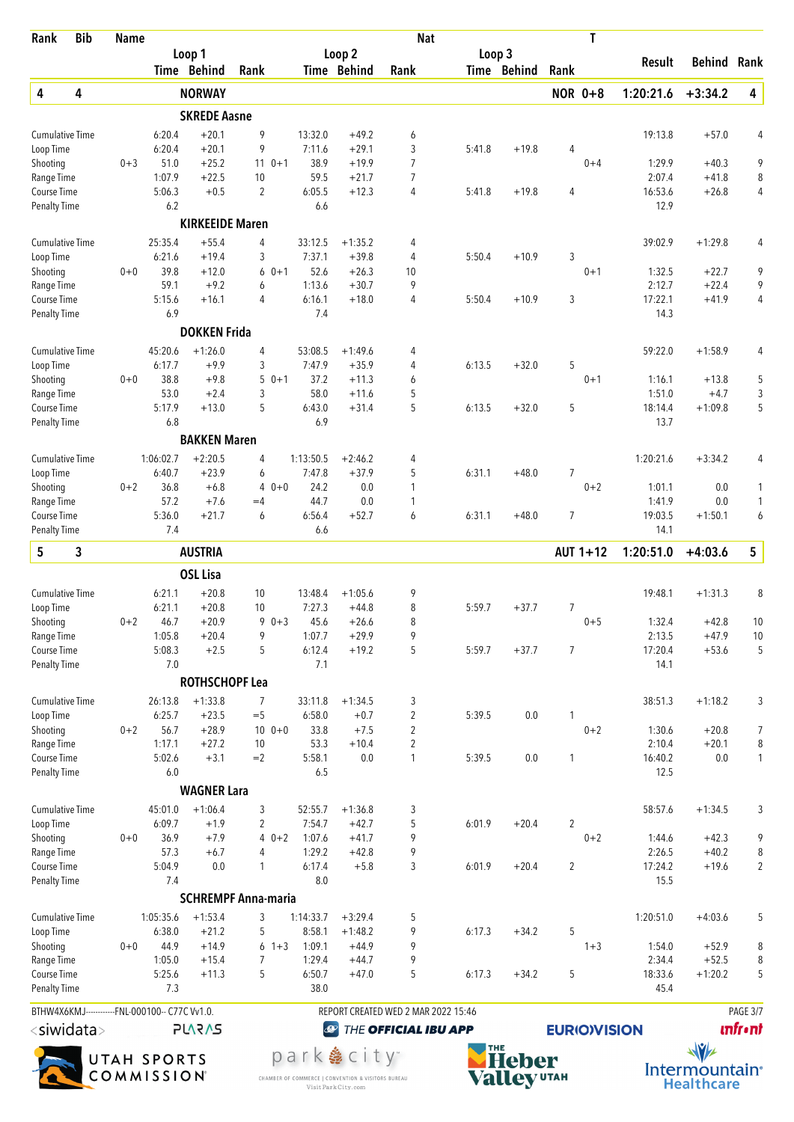| Rank                                                                                      | <b>Bib</b> | <b>Name</b> |                  |                        | <b>Nat</b>                 |                   |                           |                                     |        |              | T                   |            |                 |                    |                |
|-------------------------------------------------------------------------------------------|------------|-------------|------------------|------------------------|----------------------------|-------------------|---------------------------|-------------------------------------|--------|--------------|---------------------|------------|-----------------|--------------------|----------------|
|                                                                                           |            |             |                  | Loop 1                 |                            |                   | Loop <sub>2</sub>         |                                     | Loop 3 |              |                     |            | Result          | <b>Behind Rank</b> |                |
|                                                                                           |            |             |                  | Time Behind            | Rank                       |                   | Time Behind               | Rank                                |        | Time Behind  | Rank                |            |                 |                    |                |
| 4                                                                                         | 4          |             |                  | <b>NORWAY</b>          |                            |                   |                           |                                     |        |              | <b>NOR 0+8</b>      |            | 1:20:21.6       | $+3:34.2$          | 4              |
|                                                                                           |            |             |                  | <b>SKREDE Aasne</b>    |                            |                   |                           |                                     |        |              |                     |            |                 |                    |                |
| <b>Cumulative Time</b><br>Loop Time                                                       |            |             | 6:20.4<br>6:20.4 | $+20.1$<br>$+20.1$     | 9<br>9                     | 13:32.0<br>7:11.6 | $+49.2$<br>$+29.1$        | 6<br>3                              | 5:41.8 | $+19.8$      | 4                   |            | 19:13.8         | $+57.0$            | 4              |
| Shooting                                                                                  |            | $0 + 3$     | 51.0             | $+25.2$                | $11 \t 0+1$                | 38.9              | $+19.9$                   | $\overline{7}$                      |        |              |                     | $0 + 4$    | 1:29.9          | $+40.3$            | 9              |
| Range Time                                                                                |            |             | 1:07.9           | $+22.5$                | 10                         | 59.5              | $+21.7$                   | $\overline{7}$                      |        |              |                     |            | 2:07.4          | $+41.8$            | 8              |
| Course Time                                                                               |            |             | 5:06.3<br>6.2    | $+0.5$                 | $\overline{2}$             | 6:05.5            | $+12.3$                   | 4                                   | 5:41.8 | $+19.8$      | 4                   |            | 16:53.6<br>12.9 | $+26.8$            | $\overline{4}$ |
| <b>Penalty Time</b>                                                                       |            |             |                  | <b>KIRKEEIDE Maren</b> |                            | 6.6               |                           |                                     |        |              |                     |            |                 |                    |                |
| <b>Cumulative Time</b>                                                                    |            |             | 25:35.4          | $+55.4$                | 4                          | 33:12.5           | $+1:35.2$                 | 4                                   |        |              |                     |            | 39:02.9         | $+1:29.8$          | 4              |
| Loop Time                                                                                 |            |             | 6:21.6           | $+19.4$                | 3                          | 7:37.1            | $+39.8$                   | 4                                   | 5:50.4 | $+10.9$      | 3                   |            |                 |                    |                |
| Shooting                                                                                  |            | $0 + 0$     | 39.8             | $+12.0$                | $0 + 1$<br>6               | 52.6              | $+26.3$                   | 10                                  |        |              |                     | $0 + 1$    | 1:32.5          | $+22.7$            | 9              |
| Range Time                                                                                |            |             | 59.1             | $+9.2$                 | 6                          | 1:13.6            | $+30.7$                   | 9                                   |        |              |                     |            | 2:12.7          | $+22.4$            | 9              |
| <b>Course Time</b><br><b>Penalty Time</b>                                                 |            |             | 5:15.6<br>6.9    | $+16.1$                | 4                          | 6:16.1<br>7.4     | $+18.0$                   | 4                                   | 5:50.4 | $+10.9$      | 3                   |            | 17:22.1<br>14.3 | $+41.9$            | $\overline{4}$ |
|                                                                                           |            |             |                  | <b>DOKKEN Frida</b>    |                            |                   |                           |                                     |        |              |                     |            |                 |                    |                |
| <b>Cumulative Time</b>                                                                    |            |             | 45:20.6          | $+1:26.0$              | 4                          | 53:08.5           | $+1:49.6$                 | 4                                   |        |              |                     |            | 59:22.0         | $+1:58.9$          | 4              |
| Loop Time                                                                                 |            |             | 6:17.7           | $+9.9$                 | 3                          | 7:47.9            | $+35.9$                   | 4                                   | 6:13.5 | $+32.0$      | 5                   |            |                 |                    |                |
| Shooting                                                                                  |            | $0 + 0$     | 38.8             | $+9.8$                 | 5<br>$0 + 1$               | 37.2              | $+11.3$                   | 6                                   |        |              |                     | $0 + 1$    | 1:16.1          | $+13.8$            | 5              |
| Range Time                                                                                |            |             | 53.0             | $+2.4$                 | 3                          | 58.0              | $+11.6$                   | 5                                   |        |              |                     |            | 1:51.0          | $+4.7$             | 3              |
| Course Time<br><b>Penalty Time</b>                                                        |            |             | 5:17.9<br>6.8    | $+13.0$                | 5                          | 6:43.0<br>6.9     | $+31.4$                   | 5                                   | 6:13.5 | $+32.0$      | 5                   |            | 18:14.4<br>13.7 | $+1:09.8$          | 5              |
|                                                                                           |            |             |                  | <b>BAKKEN Maren</b>    |                            |                   |                           |                                     |        |              |                     |            |                 |                    |                |
| <b>Cumulative Time</b>                                                                    |            |             | 1:06:02.7        | $+2:20.5$              | 4                          | 1:13:50.5         | $+2:46.2$                 | 4                                   |        |              |                     |            | 1:20:21.6       | $+3:34.2$          | 4              |
| Loop Time                                                                                 |            |             | 6:40.7           | $+23.9$                | 6                          | 7:47.8            | $+37.9$                   | 5                                   | 6:31.1 | $+48.0$      | 7                   |            |                 |                    |                |
| Shooting                                                                                  |            | $0 + 2$     | 36.8             | $+6.8$                 | 4<br>$0 + 0$               | 24.2              | 0.0                       | 1                                   |        |              |                     | $0 + 2$    | 1:01.1          | 0.0                | 1              |
| Range Time                                                                                |            |             | 57.2             | $+7.6$                 | $=4$                       | 44.7              | 0.0                       | 1                                   |        |              |                     |            | 1:41.9          | 0.0                | 1              |
| Course Time<br><b>Penalty Time</b>                                                        |            |             | 5:36.0<br>7.4    | $+21.7$                | 6                          | 6:56.4<br>6.6     | $+52.7$                   | 6                                   | 6:31.1 | $+48.0$      | 7                   |            | 19:03.5<br>14.1 | $+1:50.1$          | 6              |
| 5                                                                                         | 3          |             |                  | <b>AUSTRIA</b>         |                            |                   |                           |                                     |        |              |                     | AUT 1+12   | 1:20:51.0       | $+4:03.6$          | 5              |
|                                                                                           |            |             |                  | <b>OSL Lisa</b>        |                            |                   |                           |                                     |        |              |                     |            |                 |                    |                |
|                                                                                           |            |             |                  |                        | 10                         |                   |                           | 9                                   |        |              |                     |            | 19:48.1         |                    | 8              |
| <b>Cumulative Time</b><br>Loop Time                                                       |            |             | 6:21.1<br>6:21.1 | $+20.8$<br>$+20.8$     | 10                         | 13:48.4<br>7:27.3 | $+1:05.6$<br>$+44.8$      | 8                                   | 5:59.7 | $+37.7$      | 7                   |            |                 | $+1:31.3$          |                |
| Shooting                                                                                  |            | $0 + 2$     | 46.7             | $+20.9$                | $90+3$                     | 45.6              | $+26.6$                   | 8                                   |        |              |                     | $0 + 5$    | 1:32.4          | $+42.8$            | 10             |
| Range Time                                                                                |            |             | 1:05.8           | $+20.4$                | 9                          | 1:07.7            | $+29.9$                   | 9                                   |        |              |                     |            | 2:13.5          | $+47.9$            | 10             |
| Course Time                                                                               |            |             | 5:08.3<br>7.0    | $+2.5$                 | 5                          | 6:12.4<br>7.1     | $+19.2$                   | 5                                   | 5:59.7 | $+37.7$      | 7                   |            | 17:20.4<br>14.1 | $+53.6$            | 5              |
| <b>Penalty Time</b>                                                                       |            |             |                  | <b>ROTHSCHOPF Lea</b>  |                            |                   |                           |                                     |        |              |                     |            |                 |                    |                |
| <b>Cumulative Time</b>                                                                    |            |             | 26:13.8          | $+1:33.8$              | 7                          | 33:11.8           | $+1:34.5$                 | 3                                   |        |              |                     |            | 38:51.3         | $+1:18.2$          | 3              |
| Loop Time                                                                                 |            |             | 6:25.7           | $+23.5$                | $=$ 5                      | 6:58.0            | $+0.7$                    | $\overline{\mathbf{c}}$             | 5:39.5 | $0.0\,$      | 1                   |            |                 |                    |                |
| Shooting                                                                                  |            | $0 + 2$     | 56.7             | $+28.9$                | $100 + 0$                  | 33.8              | $+7.5$                    | $\overline{2}$                      |        |              |                     | $0 + 2$    | 1:30.6          | $+20.8$            | 7              |
| Range Time                                                                                |            |             | 1:17.1           | $+27.2$                | 10                         | 53.3              | $+10.4$                   | $\overline{2}$                      |        |              |                     |            | 2:10.4          | $+20.1$            | $\, 8$         |
| Course Time<br><b>Penalty Time</b>                                                        |            |             | 5:02.6<br>6.0    | $+3.1$                 | $=2$                       | 5:58.1<br>6.5     | $0.0\,$                   | 1                                   | 5:39.5 | 0.0          | 1                   |            | 16:40.2<br>12.5 | 0.0                | $\mathbf{1}$   |
|                                                                                           |            |             |                  | <b>WAGNER Lara</b>     |                            |                   |                           |                                     |        |              |                     |            |                 |                    |                |
| <b>Cumulative Time</b>                                                                    |            |             | 45:01.0          | $+1:06.4$              | 3                          | 52:55.7           | $+1:36.8$                 | 3                                   |        |              |                     |            | 58:57.6         | $+1:34.5$          | 3              |
| Loop Time                                                                                 |            |             | 6:09.7           | $+1.9$                 | 2                          | 7:54.7            | $+42.7$                   | 5                                   | 6:01.9 | $+20.4$      | $\overline{2}$      |            |                 |                    |                |
| Shooting                                                                                  |            | $0 + 0$     | 36.9             | $+7.9$                 | 4<br>$0 + 2$               | 1:07.6            | $+41.7$                   | 9                                   |        |              |                     | $0 + 2$    | 1:44.6          | $+42.3$            | 9              |
| Range Time                                                                                |            |             | 57.3             | $+6.7$                 | 4                          | 1:29.2            | $+42.8$                   | 9                                   |        |              |                     |            | 2:26.5          | $+40.2$            | $\, 8$         |
| Course Time<br><b>Penalty Time</b>                                                        |            |             | 5:04.9<br>7.4    | 0.0                    | 1                          | 6:17.4<br>8.0     | $+5.8$                    | 3                                   | 6:01.9 | $+20.4$      | $\overline{2}$      |            | 17:24.2<br>15.5 | $+19.6$            | $\overline{2}$ |
|                                                                                           |            |             |                  |                        | <b>SCHREMPF Anna-maria</b> |                   |                           |                                     |        |              |                     |            |                 |                    |                |
| <b>Cumulative Time</b>                                                                    |            |             | 1:05:35.6        | $+1:53.4$              | 3                          | 1:14:33.7         | $+3:29.4$                 | 5                                   |        |              |                     |            | 1:20:51.0       | $+4:03.6$          | 5              |
| Loop Time                                                                                 |            |             | 6:38.0           | $+21.2$                | 5                          | 8:58.1            | $+1:48.2$                 | 9                                   | 6:17.3 | $+34.2$      | 5                   |            |                 |                    |                |
| Shooting                                                                                  |            | $0 + 0$     | 44.9             | $+14.9$                | $6 + 3$                    | 1:09.1            | $+44.9$                   | 9                                   |        |              |                     | $1 + 3$    | 1:54.0          | $+52.9$            | 8              |
| Range Time                                                                                |            |             | 1:05.0           | $+15.4$                | 7                          | 1:29.4            | $+44.7$                   | 9                                   |        |              |                     |            | 2:34.4          | $+52.5$            | 8              |
| Course Time<br>Penalty Time                                                               |            |             | 5:25.6<br>7.3    | $+11.3$                | 5                          | 6:50.7<br>38.0    | $+47.0$                   | 5                                   | 6:17.3 | $+34.2$      | 5                   |            | 18:33.6<br>45.4 | $+1:20.2$          | 5              |
|                                                                                           |            |             |                  |                        |                            |                   |                           | REPORT CREATED WED 2 MAR 2022 15:46 |        |              |                     |            |                 |                    | PAGE 3/7       |
| BTHW4X6KMJ------------FNL-000100-- C77C Vv1.0.<br><siwidata><br/><b>PLARAS</b></siwidata> |            |             |                  |                        | $\bigcirc$                 |                   | THE OFFICIAL IBU APP      |                                     |        |              | <b>EURIO)VISION</b> |            |                 | <b>unfront</b>     |                |
|                                                                                           |            |             |                  |                        |                            |                   |                           | THE                                 |        |              |                     | $\sqrt{v}$ |                 |                    |                |
|                                                                                           |            |             | UTAH SPORTS      |                        |                            |                   | park  e city <sup>-</sup> |                                     |        | <b>Heber</b> |                     |            |                 |                    |                |



I<br>CHAMBER OF COMMERCE | CONVENTION & VISITORS BUREAU<br>Visit Park City.com



Intermountain\*<br>Healthcare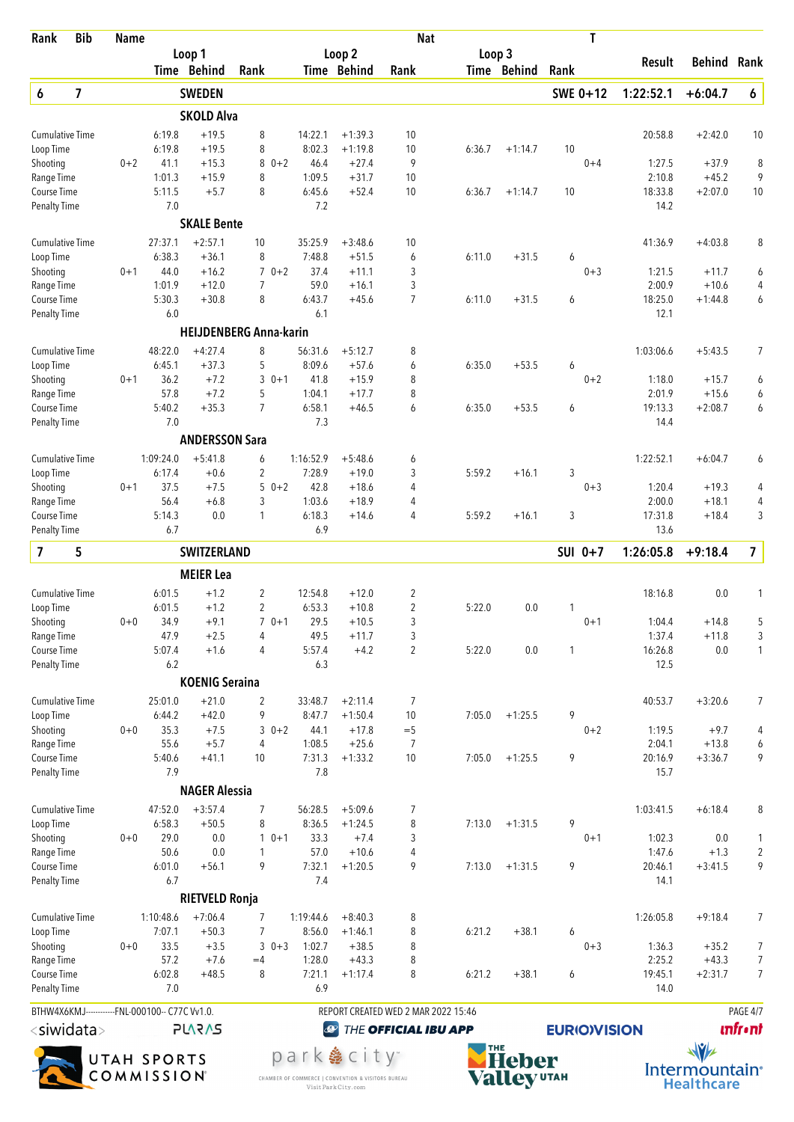| Rank                                | <b>Bib</b>              | <b>Name</b>                                                     |                   | T<br><b>Nat</b>               |                |         |                   |                           |                                     |            |              |                     |                   |                      |                         |
|-------------------------------------|-------------------------|-----------------------------------------------------------------|-------------------|-------------------------------|----------------|---------|-------------------|---------------------------|-------------------------------------|------------|--------------|---------------------|-------------------|----------------------|-------------------------|
|                                     |                         |                                                                 |                   | Loop 1                        |                |         |                   | Loop 2                    |                                     | Loop 3     |              |                     | Result            | <b>Behind Rank</b>   |                         |
|                                     |                         |                                                                 |                   | Time Behind                   | Rank           |         |                   | Time Behind               | Rank                                |            | Time Behind  | Rank                |                   |                      |                         |
| 6                                   | $\overline{\mathbf{z}}$ |                                                                 |                   | <b>SWEDEN</b>                 |                |         |                   |                           |                                     |            |              | SWE 0+12            | 1:22:52.1         | $+6:04.7$            | 6                       |
|                                     |                         |                                                                 |                   | <b>SKOLD Alva</b>             |                |         |                   |                           |                                     |            |              |                     |                   |                      |                         |
| <b>Cumulative Time</b><br>Loop Time |                         |                                                                 | 6:19.8<br>6:19.8  | $+19.5$<br>$+19.5$            | 8<br>8         |         | 14:22.1<br>8:02.3 | $+1:39.3$<br>$+1:19.8$    | 10<br>10                            | 6:36.7     | $+1:14.7$    | 10                  | 20:58.8           | $+2:42.0$            | 10                      |
| Shooting                            |                         | $0 + 2$                                                         | 41.1              | $+15.3$                       | 8              | $0 + 2$ | 46.4              | $+27.4$                   | 9                                   |            |              | $0 + 4$             | 1:27.5            | $+37.9$              | 8                       |
| Range Time                          |                         |                                                                 | 1:01.3            | $+15.9$                       | 8              |         | 1:09.5            | $+31.7$                   | 10                                  |            |              |                     | 2:10.8            | $+45.2$              | 9                       |
| Course Time                         |                         |                                                                 | 5:11.5            | $+5.7$                        | 8              |         | 6:45.6            | $+52.4$                   | 10                                  | 6:36.7     | $+1:14.7$    | 10                  | 18:33.8           | $+2:07.0$            | 10                      |
| <b>Penalty Time</b>                 |                         |                                                                 | 7.0               |                               |                |         | 7.2               |                           |                                     |            |              |                     | 14.2              |                      |                         |
|                                     |                         |                                                                 |                   | <b>SKALE Bente</b>            |                |         |                   |                           |                                     |            |              |                     |                   |                      |                         |
| <b>Cumulative Time</b><br>Loop Time |                         |                                                                 | 27:37.1<br>6:38.3 | $+2:57.1$<br>$+36.1$          | 10<br>8        |         | 35:25.9<br>7:48.8 | $+3:48.6$<br>$+51.5$      | 10<br>6                             | 6:11.0     | $+31.5$      | 6                   | 41:36.9           | $+4:03.8$            | 8                       |
| Shooting                            |                         | $0 + 1$                                                         | 44.0              | $+16.2$                       |                | $70+2$  | 37.4              | $+11.1$                   | 3                                   |            |              | $0 + 3$             | 1:21.5            | $+11.7$              | 6                       |
| Range Time                          |                         |                                                                 | 1:01.9            | $+12.0$                       | 7              |         | 59.0              | $+16.1$                   | 3                                   |            |              |                     | 2:00.9            | $+10.6$              | 4                       |
| Course Time                         |                         |                                                                 | 5:30.3            | $+30.8$                       | 8              |         | 6:43.7            | $+45.6$                   | $\overline{7}$                      | 6:11.0     | $+31.5$      | 6                   | 18:25.0           | $+1:44.8$            | 6                       |
| <b>Penalty Time</b>                 |                         |                                                                 | 6.0               |                               |                |         | 6.1               |                           |                                     |            |              |                     | 12.1              |                      |                         |
|                                     |                         |                                                                 |                   | <b>HEIJDENBERG Anna-karin</b> |                |         |                   |                           |                                     |            |              |                     |                   |                      |                         |
| <b>Cumulative Time</b>              |                         |                                                                 | 48:22.0           | $+4:27.4$<br>$+37.3$          | 8<br>5         |         | 56:31.6<br>8:09.6 | $+5:12.7$                 | 8                                   | 6:35.0     |              |                     | 1:03:06.6         | $+5:43.5$            | 7                       |
| Loop Time<br>Shooting               |                         | $0 + 1$                                                         | 6:45.1<br>36.2    | $+7.2$                        |                | $30+1$  | 41.8              | $+57.6$<br>$+15.9$        | 6<br>8                              |            | $+53.5$      | 6<br>$0 + 2$        | 1:18.0            | $+15.7$              | 6                       |
| Range Time                          |                         |                                                                 | 57.8              | $+7.2$                        | 5              |         | 1:04.1            | $+17.7$                   | 8                                   |            |              |                     | 2:01.9            | $+15.6$              | 6                       |
| Course Time                         |                         |                                                                 | 5:40.2            | $+35.3$                       | $\overline{7}$ |         | 6:58.1            | $+46.5$                   | 6                                   | 6:35.0     | $+53.5$      | 6                   | 19:13.3           | $+2:08.7$            | 6                       |
| <b>Penalty Time</b>                 |                         |                                                                 | 7.0               |                               |                |         | 7.3               |                           |                                     |            |              |                     | 14.4              |                      |                         |
|                                     |                         |                                                                 |                   | <b>ANDERSSON Sara</b>         |                |         |                   |                           |                                     |            |              |                     |                   |                      |                         |
| <b>Cumulative Time</b>              |                         |                                                                 | 1:09:24.0         | $+5:41.8$                     | 6              |         | 1:16:52.9         | $+5:48.6$                 | 6                                   |            |              |                     | 1:22:52.1         | $+6:04.7$            | 6                       |
| Loop Time                           |                         |                                                                 | 6:17.4            | $+0.6$                        | 2              |         | 7:28.9            | $+19.0$                   | 3                                   | 5:59.2     | $+16.1$      | 3                   |                   |                      |                         |
| Shooting<br>Range Time              |                         | $0 + 1$                                                         | 37.5<br>56.4      | $+7.5$<br>$+6.8$              | 3              | $50+2$  | 42.8<br>1:03.6    | $+18.6$<br>$+18.9$        | 4<br>4                              |            |              | $0 + 3$             | 1:20.4<br>2:00.0  | $+19.3$<br>$+18.1$   | 4<br>4                  |
| Course Time                         |                         |                                                                 | 5:14.3            | 0.0                           | 1              |         | 6:18.3            | $+14.6$                   | 4                                   | 5:59.2     | $+16.1$      | 3                   | 17:31.8           | $+18.4$              | 3                       |
| <b>Penalty Time</b>                 |                         |                                                                 | 6.7               |                               |                |         | 6.9               |                           |                                     |            |              |                     | 13.6              |                      |                         |
| 7                                   | 5                       |                                                                 |                   | <b>SWITZERLAND</b>            |                |         |                   |                           |                                     |            |              | SUI 0+7             | 1:26:05.8         | $+9:18.4$            | $\overline{\mathbf{z}}$ |
|                                     |                         |                                                                 |                   | <b>MEIER Lea</b>              |                |         |                   |                           |                                     |            |              |                     |                   |                      |                         |
| <b>Cumulative Time</b>              |                         |                                                                 | 6:01.5            | $+1.2$                        | 2              |         | 12:54.8           | $+12.0$                   | 2                                   |            |              |                     | 18:16.8           | 0.0                  | 1                       |
| Loop Time                           |                         |                                                                 | 6:01.5            | $+1.2$                        | $\overline{2}$ |         | 6:53.3            | $+10.8$                   | $\overline{2}$                      | 5:22.0     | 0.0          | 1                   |                   |                      |                         |
| Shooting                            |                         | $0+0$                                                           | 34.9<br>47.9      | $+9.1$<br>$+2.5$              | 4              | $70+1$  | 29.5<br>49.5      | $+10.5$<br>$+11.7$        | 3<br>3                              |            |              | $0 + 1$             | 1:04.4<br>1:37.4  | $+14.8$<br>$+11.8$   | 5<br>3                  |
| Range Time<br>Course Time           |                         |                                                                 | 5:07.4            | $+1.6$                        | 4              |         | 5:57.4            | $+4.2$                    | $\overline{2}$                      | 5:22.0     | 0.0          | 1                   | 16:26.8           | 0.0                  | $\mathbf{1}$            |
| <b>Penalty Time</b>                 |                         |                                                                 | 6.2               |                               |                |         | 6.3               |                           |                                     |            |              |                     | 12.5              |                      |                         |
|                                     |                         |                                                                 |                   | <b>KOENIG Seraina</b>         |                |         |                   |                           |                                     |            |              |                     |                   |                      |                         |
| <b>Cumulative Time</b>              |                         |                                                                 | 25:01.0           | $+21.0$                       | 2              |         | 33:48.7           | $+2:11.4$                 | 7                                   |            |              |                     | 40:53.7           | $+3:20.6$            | 7                       |
| Loop Time                           |                         |                                                                 | 6:44.2            | $+42.0$                       | 9              |         | 8:47.7            | $+1:50.4$                 | 10                                  | 7:05.0     | $+1:25.5$    | 9                   |                   |                      |                         |
| Shooting                            |                         | $0 + 0$                                                         | 35.3              | $+7.5$                        |                | $30+2$  | 44.1              | $+17.8$                   | $=$ 5                               |            |              | $0 + 2$             | 1:19.5            | $+9.7$               | 4                       |
| Range Time<br>Course Time           |                         |                                                                 | 55.6<br>5:40.6    | $+5.7$<br>$+41.1$             | 4<br>10        |         | 1:08.5<br>7:31.3  | $+25.6$<br>$+1:33.2$      | $\overline{7}$<br>10                | 7:05.0     | $+1:25.5$    | 9                   | 2:04.1<br>20:16.9 | $+13.8$<br>$+3:36.7$ | 6<br>9                  |
| <b>Penalty Time</b>                 |                         |                                                                 | 7.9               |                               |                |         | 7.8               |                           |                                     |            |              |                     | 15.7              |                      |                         |
|                                     |                         |                                                                 |                   | <b>NAGER Alessia</b>          |                |         |                   |                           |                                     |            |              |                     |                   |                      |                         |
| <b>Cumulative Time</b>              |                         |                                                                 | 47:52.0           | $+3:57.4$                     | 7              |         | 56:28.5           | $+5:09.6$                 | 7                                   |            |              |                     | 1:03:41.5         | $+6:18.4$            | 8                       |
| Loop Time                           |                         |                                                                 | 6:58.3            | $+50.5$                       | 8              |         | 8:36.5            | $+1:24.5$                 | 8                                   | 7:13.0     | $+1:31.5$    | 9                   |                   |                      |                         |
| Shooting                            |                         | $0 + 0$                                                         | 29.0              | 0.0                           |                | $10+1$  | 33.3              | $+7.4$                    | 3                                   |            |              | $0 + 1$             | 1:02.3            | 0.0                  | 1                       |
| Range Time                          |                         |                                                                 | 50.6              | 0.0                           | 1              |         | 57.0              | $+10.6$                   | 4                                   |            |              |                     | 1:47.6            | $+1.3$               | $\sqrt{2}$              |
| Course Time<br><b>Penalty Time</b>  |                         |                                                                 | 6:01.0<br>6.7     | $+56.1$                       | 9              |         | 7:32.1<br>7.4     | $+1:20.5$                 | 9                                   | 7:13.0     | $+1:31.5$    | 9                   | 20:46.1<br>14.1   | $+3:41.5$            | 9                       |
|                                     |                         |                                                                 |                   | <b>RIETVELD Ronja</b>         |                |         |                   |                           |                                     |            |              |                     |                   |                      |                         |
| <b>Cumulative Time</b>              |                         |                                                                 | 1:10:48.6         | $+7:06.4$                     | 7              |         | 1:19:44.6         | $+8:40.3$                 | 8                                   |            |              |                     | 1:26:05.8         | $+9:18.4$            | 7                       |
| Loop Time                           |                         |                                                                 | 7:07.1            | $+50.3$                       | 7              |         | 8:56.0            | $+1:46.1$                 | 8                                   | 6:21.2     | $+38.1$      | 6                   |                   |                      |                         |
| Shooting                            |                         | $0 + 0$                                                         | 33.5              | $+3.5$                        |                | $30+3$  | 1:02.7            | $+38.5$                   | 8                                   |            |              | $0 + 3$             | 1:36.3            | $+35.2$              | 7                       |
| Range Time                          |                         |                                                                 | 57.2              | $+7.6$                        | $=4$           |         | 1:28.0            | $+43.3$                   | 8                                   |            |              |                     | 2:25.2            | $+43.3$              | 7                       |
| Course Time<br>Penalty Time         |                         |                                                                 | 6:02.8<br>7.0     | $+48.5$                       | 8              |         | 7:21.1<br>6.9     | $+1:17.4$                 | 8                                   | 6:21.2     | $+38.1$      | 6                   | 19:45.1<br>14.0   | $+2:31.7$            | $\overline{7}$          |
|                                     |                         |                                                                 |                   |                               |                |         |                   |                           | REPORT CREATED WED 2 MAR 2022 15:46 |            |              |                     |                   |                      | PAGE 4/7                |
|                                     |                         | BTHW4X6KMJ------------FNL-000100-- C77C Vv1.0.<br><b>PLARAS</b> |                   |                               |                |         | $\bigcirc$        |                           | THE OFFICIAL IBU APP                |            |              | <b>EURIO)VISION</b> |                   |                      | <b>unfr</b> •nt         |
| <siwidata></siwidata>               |                         |                                                                 |                   |                               |                |         |                   |                           |                                     | <b>THE</b> |              |                     | $\sqrt{v}$        |                      |                         |
|                                     |                         |                                                                 | UTAH SPORTS       |                               |                |         |                   | park  e city <sup>-</sup> |                                     |            | <b>Heber</b> |                     |                   |                      |                         |





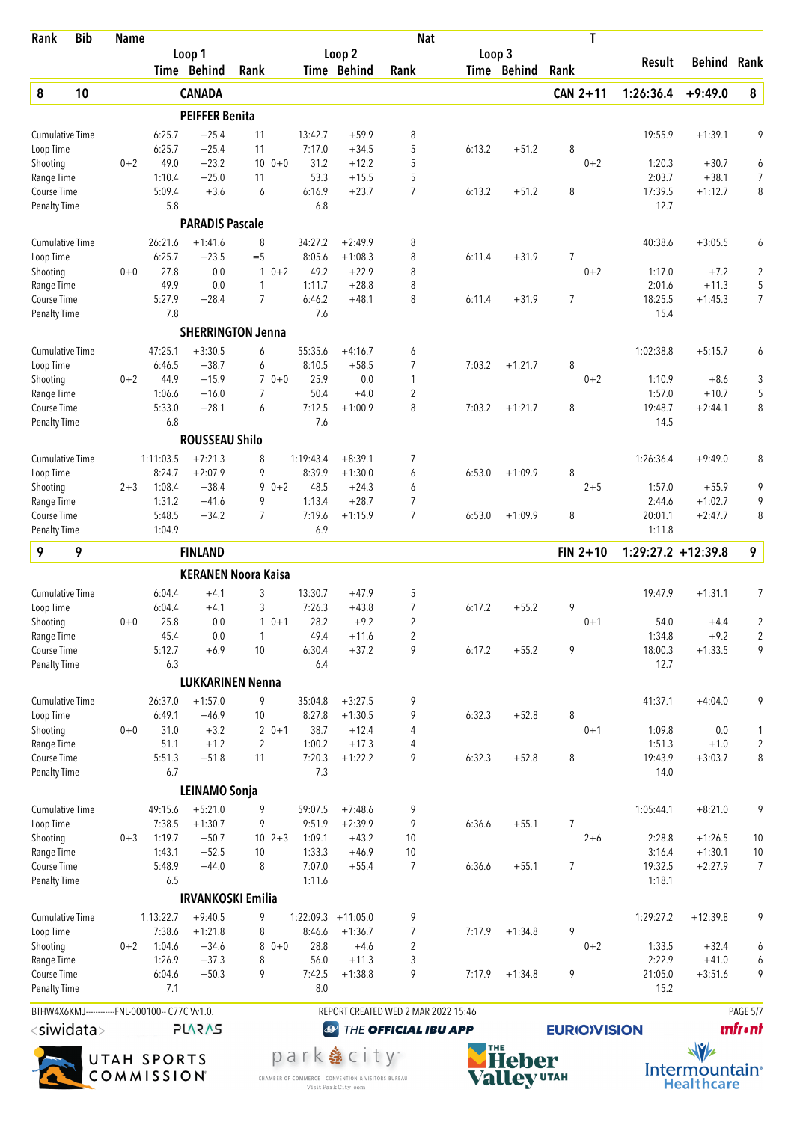| Rank                                                                                      | <b>Bib</b> | <b>Name</b> |                  |                                  | T<br><b>Nat</b>            |                   |                         |                                     |        |              |                     |                       |                      |                     |
|-------------------------------------------------------------------------------------------|------------|-------------|------------------|----------------------------------|----------------------------|-------------------|-------------------------|-------------------------------------|--------|--------------|---------------------|-----------------------|----------------------|---------------------|
|                                                                                           |            |             |                  | Loop 1<br>Time Behind            |                            |                   | Loop 2<br>Time Behind   |                                     | Loop 3 | Time Behind  |                     | Result                | <b>Behind Rank</b>   |                     |
|                                                                                           |            |             |                  |                                  | Rank                       |                   |                         | Rank                                |        |              | Rank                |                       |                      |                     |
| $\pmb{8}$                                                                                 | 10         |             |                  | <b>CANADA</b>                    |                            |                   |                         |                                     |        |              | CAN 2+11            | 1:26:36.4             | $+9:49.0$            | 8                   |
|                                                                                           |            |             |                  | <b>PEIFFER Benita</b><br>$+25.4$ |                            |                   |                         |                                     |        |              |                     |                       |                      | 9                   |
| <b>Cumulative Time</b><br>Loop Time                                                       |            |             | 6:25.7<br>6:25.7 | $+25.4$                          | 11<br>11                   | 13:42.7<br>7:17.0 | $+59.9$<br>$+34.5$      | 8<br>5                              | 6:13.2 | $+51.2$      | 8                   | 19:55.9               | $+1:39.1$            |                     |
| Shooting                                                                                  |            | $0 + 2$     | 49.0             | $+23.2$                          | $10 \t 0+0$                | 31.2              | $+12.2$                 | 5                                   |        |              | $0 + 2$             | 1:20.3                | $+30.7$              | 6                   |
| Range Time                                                                                |            |             | 1:10.4           | $+25.0$                          | 11                         | 53.3              | $+15.5$                 | 5                                   |        |              |                     | 2:03.7                | $+38.1$              | $\overline{7}$      |
| Course Time<br><b>Penalty Time</b>                                                        |            |             | 5:09.4<br>5.8    | $+3.6$                           | 6                          | 6:16.9<br>6.8     | $+23.7$                 | $\overline{7}$                      | 6:13.2 | $+51.2$      | 8                   | 17:39.5<br>12.7       | $+1:12.7$            | 8                   |
|                                                                                           |            |             |                  | <b>PARADIS Pascale</b>           |                            |                   |                         |                                     |        |              |                     |                       |                      |                     |
| <b>Cumulative Time</b>                                                                    |            |             | 26:21.6          | $+1:41.6$                        | 8                          | 34:27.2           | $+2:49.9$               | 8                                   |        |              |                     | 40:38.6               | $+3:05.5$            | 6                   |
| Loop Time                                                                                 |            |             | 6:25.7           | $+23.5$                          | $=$ 5                      | 8:05.6            | $+1:08.3$               | 8                                   | 6:11.4 | $+31.9$      | 7                   |                       |                      |                     |
| Shooting                                                                                  |            | $0 + 0$     | 27.8             | 0.0                              | $10+2$                     | 49.2              | $+22.9$                 | 8                                   |        |              | $0 + 2$             | 1:17.0                | $+7.2$               | $\overline{c}$      |
| Range Time<br><b>Course Time</b>                                                          |            |             | 49.9<br>5:27.9   | 0.0<br>$+28.4$                   | 1<br>$\overline{7}$        | 1:11.7<br>6:46.2  | $+28.8$<br>$+48.1$      | 8<br>8                              | 6:11.4 | $+31.9$      | $\overline{7}$      | 2:01.6<br>18:25.5     | $+11.3$<br>$+1:45.3$ | 5<br>$\overline{7}$ |
| <b>Penalty Time</b>                                                                       |            |             | 7.8              |                                  |                            | 7.6               |                         |                                     |        |              |                     | 15.4                  |                      |                     |
|                                                                                           |            |             |                  |                                  | <b>SHERRINGTON Jenna</b>   |                   |                         |                                     |        |              |                     |                       |                      |                     |
| <b>Cumulative Time</b>                                                                    |            |             | 47:25.1          | $+3:30.5$                        | 6                          | 55:35.6           | $+4:16.7$               | 6                                   |        |              |                     | 1:02:38.8             | $+5:15.7$            | 6                   |
| Loop Time                                                                                 |            |             | 6:46.5           | $+38.7$                          | 6                          | 8:10.5            | $+58.5$                 | $\overline{7}$                      | 7:03.2 | $+1:21.7$    | 8                   |                       |                      |                     |
| Shooting                                                                                  |            | $0 + 2$     | 44.9             | $+15.9$                          | $70+0$                     | 25.9              | 0.0                     | 1                                   |        |              | $0 + 2$             | 1:10.9                | $+8.6$               | 3                   |
| Range Time<br>Course Time                                                                 |            |             | 1:06.6<br>5:33.0 | $+16.0$<br>$+28.1$               | 7<br>6                     | 50.4<br>7:12.5    | $+4.0$<br>$+1:00.9$     | $\overline{2}$<br>8                 | 7:03.2 | $+1:21.7$    | 8                   | 1:57.0<br>19:48.7     | $+10.7$<br>$+2:44.1$ | 5<br>8              |
| <b>Penalty Time</b>                                                                       |            |             | 6.8              |                                  |                            | 7.6               |                         |                                     |        |              |                     | 14.5                  |                      |                     |
|                                                                                           |            |             |                  | <b>ROUSSEAU Shilo</b>            |                            |                   |                         |                                     |        |              |                     |                       |                      |                     |
| <b>Cumulative Time</b>                                                                    |            |             | 1:11:03.5        | $+7:21.3$                        | 8                          | 1:19:43.4         | $+8:39.1$               | $\overline{7}$                      |        |              |                     | 1:26:36.4             | $+9:49.0$            | 8                   |
| Loop Time                                                                                 |            |             | 8:24.7           | $+2:07.9$                        | 9                          | 8:39.9            | $+1:30.0$               | 6                                   | 6:53.0 | $+1:09.9$    | 8                   |                       |                      |                     |
| Shooting                                                                                  |            | $2 + 3$     | 1:08.4           | $+38.4$                          | $90+2$                     | 48.5              | $+24.3$                 | 6                                   |        |              | $2 + 5$             | 1:57.0                | $+55.9$              | 9                   |
| Range Time                                                                                |            |             | 1:31.2<br>5:48.5 | $+41.6$                          | 9<br>7                     | 1:13.4<br>7:19.6  | $+28.7$                 | 7<br>$\overline{7}$                 |        |              |                     | 2:44.6<br>20:01.1     | $+1:02.7$            | 9                   |
| Course Time<br><b>Penalty Time</b>                                                        |            |             | 1:04.9           | $+34.2$                          |                            | 6.9               | $+1:15.9$               |                                     | 6:53.0 | $+1:09.9$    | 8                   | 1:11.8                | $+2:47.7$            | 8                   |
| 9                                                                                         | 9          |             |                  | <b>FINLAND</b>                   |                            |                   |                         |                                     |        |              | $FIN 2+10$          | $1:29:27.2 + 12:39.8$ |                      | 9                   |
|                                                                                           |            |             |                  |                                  | <b>KERANEN Noora Kaisa</b> |                   |                         |                                     |        |              |                     |                       |                      |                     |
| <b>Cumulative Time</b>                                                                    |            |             | 6:04.4           | $+4.1$                           | 3                          | 13:30.7           | $+47.9$                 | 5                                   |        |              |                     | 19:47.9               | $+1:31.1$            | $\overline{7}$      |
| Loop Time                                                                                 |            |             | 6:04.4           | $+4.1$                           | 3                          | 7:26.3            | $+43.8$                 | $\overline{7}$                      | 6:17.2 | $+55.2$      | 9                   |                       |                      |                     |
| Shooting                                                                                  |            | $0+0$       | 25.8             | 0.0                              | $0 + 1$                    | 28.2              | $+9.2$                  | $\overline{c}$                      |        |              | $0 + 1$             | 54.0                  | $+4.4$               | 2                   |
| Range Time                                                                                |            |             | 45.4             | 0.0<br>$+6.9$                    | $\mathbf{1}$<br>10         | 49.4              | $+11.6$<br>$+37.2$      | 2<br>9                              |        |              | 9                   | 1:34.8                | $+9.2$               | $\overline{2}$<br>9 |
| Course Time<br><b>Penalty Time</b>                                                        |            |             | 5:12.7<br>6.3    |                                  |                            | 6:30.4<br>6.4     |                         |                                     | 6:17.2 | $+55.2$      |                     | 18:00.3<br>12.7       | $+1:33.5$            |                     |
|                                                                                           |            |             |                  |                                  | <b>LUKKARINEN Nenna</b>    |                   |                         |                                     |        |              |                     |                       |                      |                     |
| <b>Cumulative Time</b>                                                                    |            |             | 26:37.0          | $+1:57.0$                        | 9                          | 35:04.8           | $+3:27.5$               | 9                                   |        |              |                     | 41:37.1               | $+4:04.0$            | 9                   |
| Loop Time                                                                                 |            |             | 6:49.1           | $+46.9$                          | 10                         | 8:27.8            | $+1:30.5$               | 9                                   | 6:32.3 | $+52.8$      | 8                   |                       |                      |                     |
| Shooting                                                                                  |            | $0 + 0$     | 31.0             | $+3.2$                           | $20+1$                     | 38.7              | $+12.4$                 | 4                                   |        |              | $0 + 1$             | 1:09.8                | 0.0                  | 1                   |
| Range Time                                                                                |            |             | 51.1             | $+1.2$                           | $\overline{2}$             | 1:00.2            | $+17.3$                 | 4                                   |        |              |                     | 1:51.3                | $+1.0$               | $\sqrt{2}$          |
| Course Time<br><b>Penalty Time</b>                                                        |            |             | 5:51.3<br>6.7    | $+51.8$                          | 11                         | 7:20.3<br>7.3     | $+1:22.2$               | 9                                   | 6:32.3 | $+52.8$      | 8                   | 19:43.9<br>14.0       | $+3:03.7$            | 8                   |
|                                                                                           |            |             |                  | LEINAMO Sonja                    |                            |                   |                         |                                     |        |              |                     |                       |                      |                     |
| <b>Cumulative Time</b>                                                                    |            |             | 49:15.6          | $+5:21.0$                        | 9                          | 59:07.5           | $+7:48.6$               | 9                                   |        |              |                     | 1:05:44.1             | $+8:21.0$            | 9                   |
| Loop Time                                                                                 |            |             | 7:38.5           | $+1:30.7$                        | 9                          | 9:51.9            | $+2:39.9$               | 9                                   | 6:36.6 | $+55.1$      | 7                   |                       |                      |                     |
| Shooting                                                                                  |            | $0 + 3$     | 1:19.7           | $+50.7$                          | $10 \t2+3$                 | 1:09.1            | $+43.2$                 | 10                                  |        |              | $2 + 6$             | 2:28.8                | $+1:26.5$            | 10                  |
| Range Time                                                                                |            |             | 1:43.1           | $+52.5$                          | 10                         | 1:33.3            | $+46.9$                 | 10                                  |        |              |                     | 3:16.4                | $+1:30.1$            | $10$                |
| Course Time<br><b>Penalty Time</b>                                                        |            |             | 5:48.9<br>6.5    | $+44.0$                          | 8                          | 7:07.0<br>1:11.6  | $+55.4$                 | 7                                   | 6:36.6 | $+55.1$      | 7                   | 19:32.5<br>1:18.1     | $+2:27.9$            | 7                   |
|                                                                                           |            |             |                  |                                  | <b>IRVANKOSKI Emilia</b>   |                   |                         |                                     |        |              |                     |                       |                      |                     |
| <b>Cumulative Time</b>                                                                    |            |             | 1:13:22.7        | $+9:40.5$                        | 9                          |                   | $1:22:09.3$ +11:05.0    | 9                                   |        |              |                     | 1:29:27.2             | $+12:39.8$           | 9                   |
| Loop Time                                                                                 |            |             | 7:38.6           | $+1:21.8$                        | 8                          | 8:46.6            | $+1:36.7$               | 7                                   | 7:17.9 | $+1:34.8$    | 9                   |                       |                      |                     |
| Shooting                                                                                  |            | $0 + 2$     | 1:04.6           | $+34.6$                          | 8<br>$0 + 0$               | 28.8              | $+4.6$                  | $\overline{2}$                      |        |              | $0 + 2$             | 1:33.5                | $+32.4$              | 6                   |
| Range Time                                                                                |            |             | 1:26.9           | $+37.3$                          | 8                          | 56.0              | $+11.3$                 | 3                                   |        |              |                     | 2:22.9                | $+41.0$              | 6                   |
| Course Time<br>Penalty Time                                                               |            |             | 6:04.6<br>7.1    | $+50.3$                          | 9                          | 7:42.5<br>8.0     | $+1:38.8$               | 9                                   | 7:17.9 | $+1:34.8$    | 9                   | 21:05.0<br>15.2       | $+3:51.6$            | 9                   |
|                                                                                           |            |             |                  |                                  |                            |                   |                         | REPORT CREATED WED 2 MAR 2022 15:46 |        |              |                     |                       |                      | PAGE 5/7            |
| BTHW4X6KMJ------------FNL-000100-- C77C Vv1.0.<br><siwidata><br/><b>PLARAS</b></siwidata> |            |             |                  |                                  |                            | $\bigcirc$        |                         | THE OFFICIAL IBU APP                |        |              | <b>EURIO)VISION</b> |                       |                      | <b>unfront</b>      |
|                                                                                           |            |             |                  |                                  |                            |                   |                         |                                     | THE    |              |                     | $\sqrt{v}$            |                      |                     |
|                                                                                           |            |             | UTAH SPORTS      |                                  |                            |                   | park  city <sup>®</sup> |                                     |        | <b>Heber</b> |                     |                       |                      |                     |



CHAMBER OF COMMERCE | CONVENTION & VISITORS BUREAU<br>Visit Park City.com



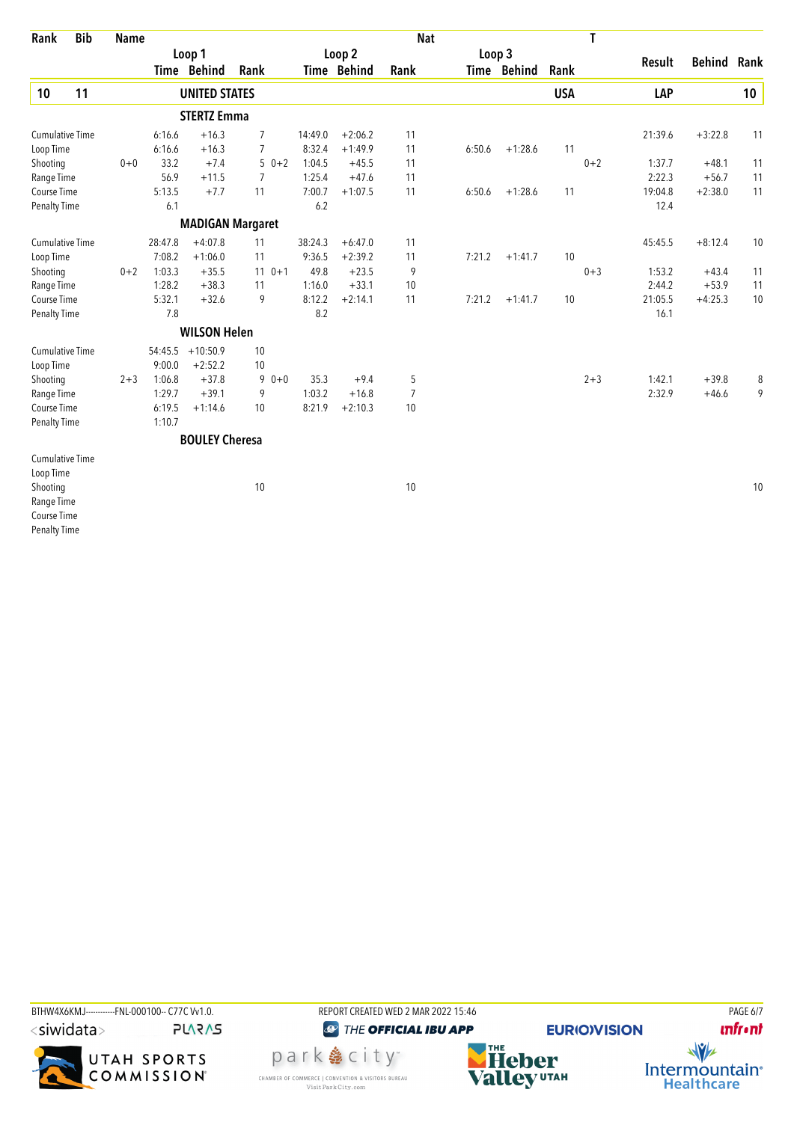| Rank                                                                         | <b>Bib</b> | <b>Name</b> |         |                       |                         |         |             | <b>Nat</b>     |        |             |            | T       |         |               |      |
|------------------------------------------------------------------------------|------------|-------------|---------|-----------------------|-------------------------|---------|-------------|----------------|--------|-------------|------------|---------|---------|---------------|------|
|                                                                              |            |             | Loop 1  |                       |                         |         | Loop 2      |                | Loop 3 |             |            |         |         | <b>Behind</b> | Rank |
|                                                                              |            |             |         | Time Behind           | Rank                    |         | Time Behind | Rank           |        | Time Behind | Rank       |         | Result  |               |      |
| 10                                                                           | 11         |             |         | <b>UNITED STATES</b>  |                         |         |             |                |        |             | <b>USA</b> |         | LAP     |               | 10   |
|                                                                              |            |             |         | <b>STERTZ Emma</b>    |                         |         |             |                |        |             |            |         |         |               |      |
| <b>Cumulative Time</b>                                                       |            |             | 6:16.6  | $+16.3$               | $\overline{7}$          | 14:49.0 | $+2:06.2$   | 11             |        |             |            |         | 21:39.6 | $+3:22.8$     | 11   |
| Loop Time                                                                    |            |             | 6:16.6  | $+16.3$               | $\overline{7}$          | 8:32.4  | $+1:49.9$   | 11             | 6:50.6 | $+1:28.6$   | 11         |         |         |               |      |
| Shooting                                                                     |            | $0 + 0$     | 33.2    | $+7.4$                | $50+2$                  | 1:04.5  | $+45.5$     | 11             |        |             |            | $0 + 2$ | 1:37.7  | $+48.1$       | 11   |
| Range Time                                                                   |            |             | 56.9    | $+11.5$               | $\overline{7}$          | 1:25.4  | $+47.6$     | 11             |        |             |            |         | 2:22.3  | $+56.7$       | 11   |
| Course Time                                                                  |            |             | 5:13.5  | $+7.7$                | 11                      | 7:00.7  | $+1:07.5$   | 11             | 6:50.6 | $+1:28.6$   | 11         |         | 19:04.8 | $+2:38.0$     | 11   |
| Penalty Time                                                                 |            |             | 6.1     |                       |                         | 6.2     |             |                |        |             |            |         | 12.4    |               |      |
|                                                                              |            |             |         |                       | <b>MADIGAN Margaret</b> |         |             |                |        |             |            |         |         |               |      |
| <b>Cumulative Time</b>                                                       |            |             | 28:47.8 | $+4:07.8$             | 11                      | 38:24.3 | $+6:47.0$   | 11             |        |             |            |         | 45:45.5 | $+8:12.4$     | 10   |
| Loop Time                                                                    |            |             | 7:08.2  | $+1:06.0$             | 11                      | 9:36.5  | $+2:39.2$   | 11             | 7:21.2 | $+1:41.7$   | 10         |         |         |               |      |
| Shooting                                                                     |            | $0 + 2$     | 1:03.3  | $+35.5$               | $110+1$                 | 49.8    | $+23.5$     | 9              |        |             |            | $0 + 3$ | 1:53.2  | $+43.4$       | 11   |
| Range Time                                                                   |            |             | 1:28.2  | $+38.3$               | 11                      | 1:16.0  | $+33.1$     | 10             |        |             |            |         | 2:44.2  | $+53.9$       | 11   |
| Course Time                                                                  |            |             | 5:32.1  | $+32.6$               | 9                       | 8:12.2  | $+2:14.1$   | 11             | 7:21.2 | $+1:41.7$   | 10         |         | 21:05.5 | $+4:25.3$     | 10   |
| <b>Penalty Time</b>                                                          |            |             | 7.8     |                       |                         | 8.2     |             |                |        |             |            |         | 16.1    |               |      |
|                                                                              |            |             |         | <b>WILSON Helen</b>   |                         |         |             |                |        |             |            |         |         |               |      |
| <b>Cumulative Time</b>                                                       |            |             | 54:45.5 | $+10:50.9$            | 10                      |         |             |                |        |             |            |         |         |               |      |
| Loop Time                                                                    |            |             | 9:00.0  | $+2:52.2$             | 10                      |         |             |                |        |             |            |         |         |               |      |
| Shooting                                                                     |            | $2 + 3$     | 1:06.8  | $+37.8$               | 9<br>$0 + 0$            | 35.3    | $+9.4$      | 5              |        |             |            | $2 + 3$ | 1:42.1  | $+39.8$       | 8    |
| Range Time                                                                   |            |             | 1:29.7  | $+39.1$               | 9                       | 1:03.2  | $+16.8$     | $\overline{7}$ |        |             |            |         | 2:32.9  | $+46.6$       | 9    |
| Course Time                                                                  |            |             | 6:19.5  | $+1:14.6$             | 10                      | 8:21.9  | $+2:10.3$   | 10             |        |             |            |         |         |               |      |
| Penalty Time                                                                 |            |             | 1:10.7  |                       |                         |         |             |                |        |             |            |         |         |               |      |
|                                                                              |            |             |         | <b>BOULEY Cheresa</b> |                         |         |             |                |        |             |            |         |         |               |      |
| <b>Cumulative Time</b><br>Loop Time<br>Shooting<br>Range Time<br>Course Time |            |             |         |                       | 10                      |         |             | 10             |        |             |            |         |         |               | 10   |
| <b>Penalty Time</b>                                                          |            |             |         |                       |                         |         |             |                |        |             |            |         |         |               |      |